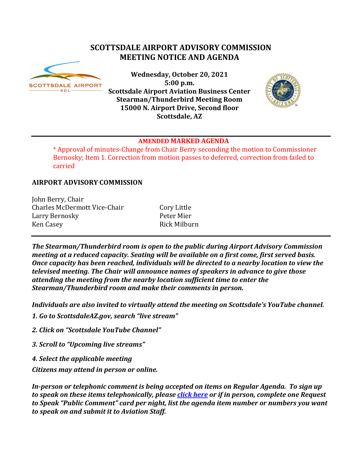# **SCOTTSDALE AIRPORT ADVISORY COMMISSION MEETING NOTICE AND AGENDA**



**Wednesday, October 20, 2021 5:00 p.m. Scottsdale Airport Aviation Business Center Stearman/Thunderbird Meeting Room 15000 N. Airport Drive, Second floor Scottsdale, AZ**



#### **AMENDED MARKED AGENDA**

\* Approval of minutes-Change from Chair Berry seconding the motion to Commissioner Bernosky; Item 1. Correction from motion passes to deferred, correction from failed to carried

## **AIRPORT ADVISORY COMMISSION**

John Berry, Chair Charles McDermott Vice-Chair Cory Little<br>
Larry Bernosky<br>
Peter Mier Larry Bernosky<br>Ken Casey

Rick Milburn

*The Stearman/Thunderbird room is open to the public during Airport Advisory Commission meeting at a reduced capacity. Seating will be available on a first come, first served basis. Once capacity has been reached, individuals will be directed to a nearby location to view the televised meeting. The Chair will announce names of speakers in advance to give those attending the meeting from the nearby location sufficient time to enter the Stearman/Thunderbird room and make their comments in person.*

*Individuals are also invited to virtually attend the meeting on Scottsdale's YouTube channel.*

*1. Go to ScottsdaleAZ.gov, search "live stream"*

*2. Click on "Scottsdale YouTube Channel"*

*3. Scroll to "Upcoming live streams"*

*4. Select the applicable meeting*

*Citizens may attend in person or online.* 

*In-person or telephonic comment is being accepted on items on Regular Agenda. To sign up to speak on these items telephonically, please [click here](https://www.scottsdaleaz.gov/boards/airport-advisory-commission/spoken-comment) or if in person, complete one Request to Speak "Public Comment" card per night, list the agenda item number or numbers you want to speak on and submit it to Aviation Staff.*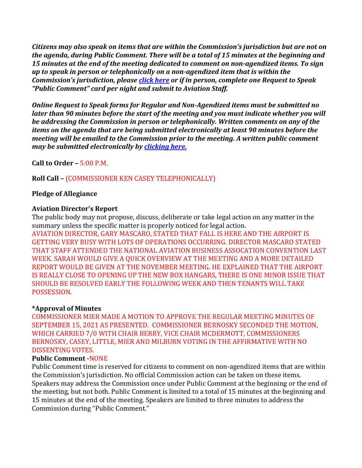*Citizens may also speak on items that are within the Commission's jurisdiction but are not on the agenda, during Public Comment. There will be a total of 15 minutes at the beginning and 15 minutes at the end of the meeting dedicated to comment on non-agendized items. To sign up to speak in person or telephonically on a non-agendized item that is within the Commission's jurisdiction, please [click here](https://www.scottsdaleaz.gov/boards/airport-advisory-commission/spoken-comment) or if in person, complete one Request to Speak "Public Comment" card per night and submit to Aviation Staff.*

*Online Request to Speak forms for Regular and Non-Agendized items must be submitted no later than 90 minutes before the start of the meeting and you must indicate whether you will be addressing the Commission in person or telephonically. Written comments on any of the items on the agenda that are being submitted electronically at least 90 minutes before the meeting will be emailed to the Commission prior to the meeting. A written public comment may be submitted electronically by [clicking here.](https://www.scottsdaleaz.gov/boards/airport-advisory-commission/public-comment)*

**Call to Order –** 5:00 P.M.

## **Roll Call –** (COMMISSIONER KEN CASEY TELEPHONICALLY)

## **Pledge of Allegiance**

## **Aviation Director's Report**

The public body may not propose, discuss, deliberate or take legal action on any matter in the summary unless the specific matter is properly noticed for legal action.

AVIATION DIRECTOR, GARY MASCARO, STATED THAT FALL IS HERE AND THE AIRPORT IS GETTING VERY BUSY WITH LOTS OF OPERATIONS OCCURRING. DIRECTOR MASCARO STATED THAT STAFF ATTENDED THE NATIONAL AVIATION BUSINESS ASSOCATION CONVENTION LAST WEEK. SARAH WOULD GIVE A QUICK OVERVIEW AT THE MEETING AND A MORE DETAILED REPORT WOULD BE GIVEN AT THE NOVEMBER MEETING. HE EXPLAINED THAT THE AIRPORT IS REALLY CLOSE TO OPENING UP THE NEW BOX HANGARS, THERE IS ONE MINOR ISSUE THAT SHOULD BE RESOLVED EARLY THE FOLLOWING WEEK AND THEN TENANTS WILL TAKE POSSESSION.

#### **\*Approval of Minutes**

COMMISSIONER MIER MADE A MOTION TO APPROVE THE REGULAR MEETING MINUTES OF SEPTEMBER 15, 2021 AS PRESENTED. COMMISSIONER BERNOSKY SECONDED THE MOTION, WHICH CARRIED 7/0 WITH CHAIR BERRY, VICE CHAIR MCDERMOTT, COMMISSIONERS BERNOSKY, CASEY, LITTLE, MIER AND MILBURN VOTING IN THE AFFIRMATIVE WITH NO DISSENTING VOTES.

#### **Public Comment -**NONE

Public Comment time is reserved for citizens to comment on non-agendized items that are within the Commission's jurisdiction. No official Commission action can be taken on these items. Speakers may address the Commission once under Public Comment at the beginning or the end of the meeting, but not both. Public Comment is limited to a total of 15 minutes at the beginning and 15 minutes at the end of the meeting. Speakers are limited to three minutes to address the Commission during "Public Comment."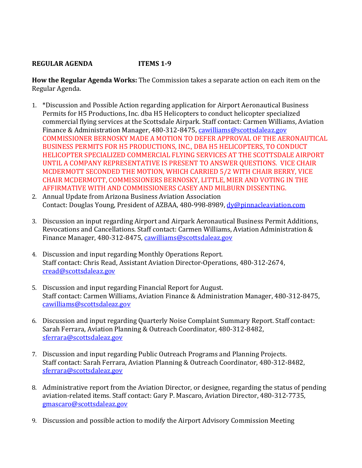## **REGULAR AGENDA ITEMS 1-9**

**How the Regular Agenda Works:** The Commission takes a separate action on each item on the Regular Agenda.

- 1. \*Discussion and Possible Action regarding application for Airport Aeronautical Business Permits for H5 Productions, Inc. dba H5 Helicopters to conduct helicopter specialized commercial flying services at the Scottsdale Airpark. Staff contact: Carmen Williams, Aviation Finance & Administration Manager, 480-312-8475, [cawilliams@scottsdaleaz.gov](mailto:cawilliams@scottsdaleaz.gov) COMMISSIONER BERNOSKY MADE A MOTION TO DEFER APPROVAL OF THE AERONAUTICAL BUSINESS PERMITS FOR H5 PRODUCTIONS, INC., DBA H5 HELICOPTERS, TO CONDUCT HELICOPTER SPECIALIZED COMMERCIAL FLYING SERVICES AT THE SCOTTSDALE AIRPORT UNTIL A COMPANY REPRESENTATIVE IS PRESENT TO ANSWER QUESTIONS. VICE CHAIR MCDERMOTT SECONDED THE MOTION, WHICH CARRIED 5/2 WITH CHAIR BERRY, VICE CHAIR MCDERMOTT, COMMISSIONERS BERNOSKY, LITTLE, MIER AND VOTING IN THE AFFIRMATIVE WITH AND COMMISSIONERS CASEY AND MILBURN DISSENTING.
- 2. Annual Update from Arizona Business Aviation Association Contact: Douglas Young, President of AZBAA, 480-998-8989, dv@pinnacleaviation.com
- 3. Discussion an input regarding Airport and Airpark Aeronautical Business Permit Additions, Revocations and Cancellations. Staff contact: Carmen Williams, Aviation Administration & Finance Manager, 480-312-8475, [cawilliams@scottsdaleaz.gov](mailto:cawilliams@scottsdaleaz.gov)
- 4. Discussion and input regarding Monthly Operations Report. Staff contact: Chris Read, Assistant Aviation Director-Operations, 480-312-2674, [cread@scottsdaleaz.gov](mailto:cread@scottsdaleaz.gov)
- 5. Discussion and input regarding Financial Report for August. Staff contact: Carmen Williams, Aviation Finance & Administration Manager, 480-312-8475, [cawilliams@scottsdaleaz.gov](mailto:cawilliams@scottsdaleaz.gov)
- 6. Discussion and input regarding Quarterly Noise Complaint Summary Report. Staff contact: Sarah Ferrara, Aviation Planning & Outreach Coordinator, 480-312-8482, [sferrara@scottsdaleaz.gov](mailto:sferrara@scottsdaleaz.gov)
- 7. Discussion and input regarding Public Outreach Programs and Planning Projects. Staff contact: Sarah Ferrara, Aviation Planning & Outreach Coordinator, 480-312-8482, [sferrara@scottsdaleaz.gov](mailto:sferrara@scottsdaleaz.gov)
- 8. Administrative report from the Aviation Director, or designee, regarding the status of pending aviation-related items. Staff contact: Gary P. Mascaro, Aviation Director, 480-312-7735, [gmascaro@scottsdaleaz.gov](mailto:gmascaro@scottsdaleaz.gov)
- 9. Discussion and possible action to modify the Airport Advisory Commission Meeting